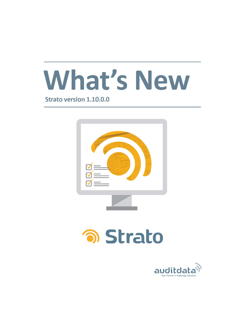

**Strato version 1.10.0.0** 



# **อา Strato**

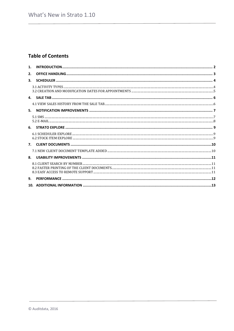# **Table of Contents**

| 1. |    |  |
|----|----|--|
| 2. |    |  |
| 3. |    |  |
|    |    |  |
|    |    |  |
|    |    |  |
| 5. |    |  |
|    |    |  |
|    |    |  |
|    |    |  |
|    | 7. |  |
|    |    |  |
| 8. |    |  |
|    |    |  |
| 9. |    |  |
|    |    |  |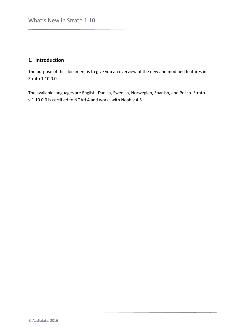# <span id="page-2-0"></span>**1. Introduction**

The purpose of this document is to give you an overview of the new and modified features in Strato 1.10.0.0.

The available languages are English, Danish, Swedish, Norwegian, Spanish, and Polish. Strato v.1.10.0.0 is certified to NOAH 4 and works with Noah v.4.6.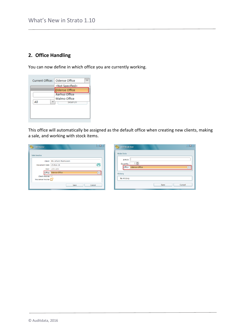# <span id="page-3-0"></span>**2. Office Handling**

You can now define in which office you are currently working.

| Current Office:   Odense Office |                          |
|---------------------------------|--------------------------|
|                                 | <not specified=""></not> |
|                                 | <b>Odense Office</b>     |
|                                 | Aarhus Office            |
|                                 | Malmo Office             |
| Αll                             | search                   |
|                                 |                          |
|                                 |                          |
|                                 |                          |

This office will automatically be assigned as the default office when creating new clients, making a sale, and working with stock items.

 $\begin{array}{|c|c|c|}\hline \textbf{X} & \textbf{y} \end{array}$ 

Cancel

| $\bigcirc$<br>Sale Invoice              |                                                    | $\mathbf{x}$<br>Add Stock Item<br><b>Main Data</b>      |  |
|-----------------------------------------|----------------------------------------------------|---------------------------------------------------------|--|
| Sale Invoice<br>Document Date 25-Nov-16 | Client   Mr. Johann Rasmussen<br>骨<br>User adm adm | Article<br>$1 \div$<br>Quantity<br>Office Odense Office |  |
| Client Invoice<br>Insurance Invoice     | Office Odense Office<br>Cancel<br>Save             | <b>History</b><br>No History<br>Save                    |  |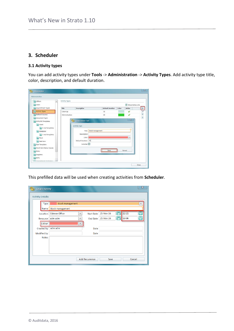# <span id="page-4-0"></span>**3. Scheduler**

### <span id="page-4-1"></span>**3.1 Activity types**

You can add activity types under **Tools** -> **Administration** -> **Activity Types**. Add activity type title, color, description, and default duration.

| <b>Offices</b><br>$\overline{\phantom{a}}$                                                                                                                                     | <b>Activity Types</b> |                                                                                                                   |                  |                         |       |                  |       |
|--------------------------------------------------------------------------------------------------------------------------------------------------------------------------------|-----------------------|-------------------------------------------------------------------------------------------------------------------|------------------|-------------------------|-------|------------------|-------|
| Users                                                                                                                                                                          |                       |                                                                                                                   |                  |                         |       | Show Active only |       |
| Appointment Types                                                                                                                                                              | Title                 | Description                                                                                                       |                  | <b>Default Duration</b> | Color | Active           |       |
| <b>Activity Types</b>                                                                                                                                                          | Clean Up              |                                                                                                                   |                  | 30                      |       |                  | 土ノキ キ |
| Referral Sources                                                                                                                                                               | Administration        |                                                                                                                   |                  | 60                      |       |                  |       |
| <b>EXPLORE Templates</b><br><b>Client</b><br><b>Bill E-mail templates</b><br>Scheduler<br>E-mail templates<br>Stock<br>Sale Item<br>Sale Templates<br>Stock Item Status Causes |                       | <b>Create Activity Type</b><br>Activity Type<br>Title<br>Description<br>Color<br>Default Duration 45<br>is Active | Stock management |                         |       | 区<br>×           |       |
| Roles<br>Suppliers<br><b>ENTs</b><br>÷                                                                                                                                         |                       |                                                                                                                   |                  | Save                    |       | Cancel           |       |

This prefilled data will be used when creating activities from **Scheduler**.

| <b>Create Activity</b>   |                                                 |                       |           |   |        | $\mathbf{z}$ |
|--------------------------|-------------------------------------------------|-----------------------|-----------|---|--------|--------------|
| <b>Activity Details:</b> |                                                 |                       |           |   |        |              |
| <b>Type</b>              | <b>Stock management</b>                         |                       |           |   |        | ÷            |
| Name                     | <b>Stock management</b>                         |                       |           |   |        |              |
| Location                 | <b>Odense Office</b><br>$\overline{\mathbf{v}}$ | <b>Start Date</b>     | 25-Nov-16 | 同 | 12:21  |              |
| Resource                 | adm adm<br>$\overline{\phantom{a}}$             | <b>End Date</b>       | 25-Nov-16 | 茴 | 13:06  | œ            |
| Colour                   | v                                               |                       |           |   |        |              |
| Created by               | adm adm                                         | Date                  |           |   |        |              |
| Modified by              |                                                 | Date                  |           |   |        |              |
| <b>Notes</b>             |                                                 |                       |           |   |        |              |
|                          |                                                 |                       |           |   |        |              |
|                          |                                                 |                       |           |   |        |              |
|                          |                                                 |                       |           |   |        |              |
|                          |                                                 | <b>Add Recurrence</b> | Save      |   | Cancel |              |
|                          |                                                 |                       |           |   |        |              |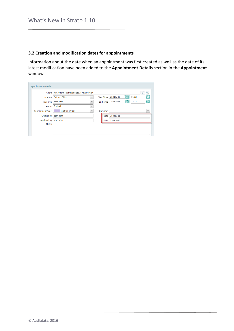## <span id="page-5-0"></span>**3.2 Creation and modification dates for appointments**

Information about the date when an appointment was first created as well as the date of its latest modification have been added to the **Appointment Details** section in the **Appointment** window.

|                         | Client   Mr. Johann Rasmussen (68757570987786) |                          |                   |                  |      |       | Ω<br>$P_{43}$           |
|-------------------------|------------------------------------------------|--------------------------|-------------------|------------------|------|-------|-------------------------|
| Location                | Odense Office                                  | $\overline{\phantom{m}}$ | <b>Start Time</b> | 25-Nov-16        | II 9 | 11:23 |                         |
| Resource                | adm adm                                        | $\overline{\phantom{m}}$ | End Time          | 25-Nov-16        | IT 9 | 12:23 |                         |
| <b>Status</b>           | <b>Booked</b>                                  | $\overline{\phantom{a}}$ |                   |                  |      |       |                         |
| <b>Appointment Type</b> | First follow-up                                | $\overline{\mathbf{v}}$  | Outcome           |                  |      |       | $\overline{\mathbf{v}}$ |
| Created by              | adm adm                                        |                          | Date              | 25-Nov-16        |      |       |                         |
| Modified by             | adm adm                                        |                          |                   | Date   25-Nov-16 |      |       |                         |
| <b>Notes</b>            |                                                |                          |                   |                  |      |       |                         |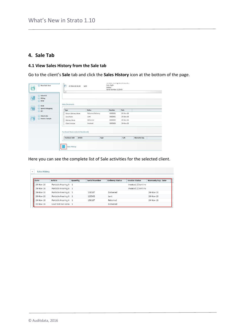# <span id="page-6-0"></span>**4. Sale Tab**

## <span id="page-6-1"></span>**4.1 View Sales History from the Sale tab**

Go to the client's **Sale** tab and click the **Sales History** icon at the bottom of the page.

| New Sale item<br>$\mathbb{A}^{\mathcal{C}}$  | 24-Nov-16 16:26<br>A.                                                                   | Lent              | Constitution constructing were procedured as<br>Side: Right<br>Colour:<br>Serial Number: 123545 |           |               |  |
|----------------------------------------------|-----------------------------------------------------------------------------------------|-------------------|-------------------------------------------------------------------------------------------------|-----------|---------------|--|
| (*) Select HI<br>$\equiv$ Fitting<br>$B$ REM |                                                                                         |                   |                                                                                                 |           |               |  |
| $(R)$ REM                                    | <b>Sales Documents</b>                                                                  |                   |                                                                                                 |           |               |  |
| Ĉ<br>Speech Mapping<br>$(x)$ HIT             | Type                                                                                    | <b>Status</b>     | Number                                                                                          | Date      |               |  |
|                                              | Return Delivery Note                                                                    | Returned Delivery | 0000001                                                                                         | 24-Nov-16 |               |  |
| (x) Client Info                              | Lend Note                                                                               | Lent              | 0000001                                                                                         | 24-Nov-16 |               |  |
| F)<br>Invoice Sample                         | Delivery Note                                                                           | Delivered         | 0000005                                                                                         | 24-Nov-16 |               |  |
|                                              | Client Invoice                                                                          | Invoiced          | 0000005                                                                                         | 24-Nov-16 |               |  |
|                                              | Purchased Devices (Serial Numbered)<br>Article<br><b>Purchase Date</b><br>Sales History | Type              |                                                                                                 | S/N       | Warranty Exp. |  |

Here you can see the complete list of Sale activities for the selected client.

| Date      | Article               | Quantity | <b>Serial Number</b> | <b>Delivery Status</b> | <b>Invoice Status</b> | <b>Warranty Exp. Date</b> |
|-----------|-----------------------|----------|----------------------|------------------------|-----------------------|---------------------------|
| 24-Nov-16 | Portable Hearing A 1  |          |                      |                        | Invoiced (Client Inv  |                           |
| 24-Nov-16 | Portable Hearing A 1  |          |                      |                        | Invoiced (Client Inv  |                           |
| 24-Nov-16 | Portable Hearing A 1  |          | 150187               | Delivered              |                       | 24-Nov-18                 |
| 24-Nov-16 | Portable Hearing A 1  |          | 123545               | Lent                   |                       | 24-Nov-18                 |
| 24-Nov-16 | Portable Hearing A 1  |          | 150187               | Returned               |                       | 24-Nov-18                 |
| 22-Nov-16 | Load test non seria 1 |          |                      | Delivered              |                       |                           |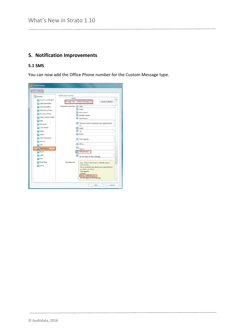# <span id="page-7-0"></span>**5. Notification Improvements**

#### <span id="page-7-1"></span>**5.1 SMS**

You can now add the Office Phone number for the Custom Message type.

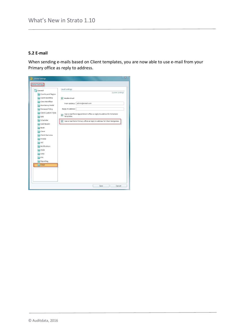#### <span id="page-8-0"></span>**5.2 E-mail**

When sending e-mails based on Client templates, you are now able to use e-mail from your Primary office as reply to address.

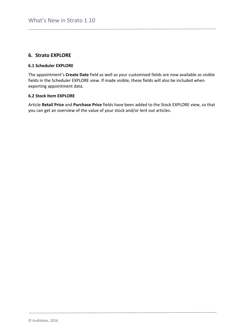## <span id="page-9-0"></span>**6. Strato EXPLORE**

#### <span id="page-9-1"></span>**6.1 Scheduler EXPLORE**

The appointment's **Create Date** field as well as your customised fields are now available as visible fields in the Scheduler EXPLORE view. If made visible, these fields will also be included when exporting appointment data.

#### <span id="page-9-2"></span>**6.2 Stock Item EXPLORE**

Article **Retail Price** and **Purchase Price** fields have been added to the Stock EXPLORE view, so that you can get an overview of the value of your stock and/or lent out articles.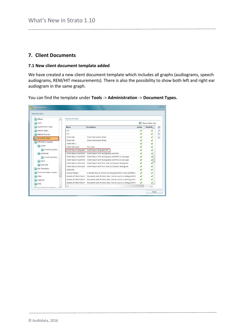## <span id="page-10-0"></span>**7. Client Documents**

#### <span id="page-10-1"></span>**7.1 New client document template added**

We have created a new client document template which includes all graphs (audiograms, speech audiograms, REM/HIT measurements). There is also the possibility to show both left and right ear audiogram in the same graph.

You can find the template under **Tools** -> **Administration** -> **Document Types.**

| ∸<br><b>Offices</b>             | <b>Document Types</b>           |                                                                                           |                         |                      |
|---------------------------------|---------------------------------|-------------------------------------------------------------------------------------------|-------------------------|----------------------|
| Users                           |                                 |                                                                                           | $\overline{\mathbf{v}}$ | Show Active only     |
| <b>Appointment Types</b>        | <b>Name</b>                     | <b>Description</b>                                                                        | <b>Active</b>           | <b>Predefin</b><br>٠ |
| <b>Activity Types</b>           | C13                             |                                                                                           |                         |                      |
| <b>Referral Sources</b>         | C14                             |                                                                                           |                         | ↑                    |
| <b>Document Types</b>           | Client Info                     | <b>Client Information Sheet</b>                                                           |                         | ∔                    |
| <b>EXPLORE Templates</b>        | Client Info                     | <b>Client Information Sheet</b>                                                           |                         |                      |
|                                 | Client Info 2                   |                                                                                           |                         |                      |
| Client                          | Client info spain               | <b>Test spain</b>                                                                         |                         |                      |
| <b>E-mail templates</b>         | <b>Client Report all graphs</b> | Client Report all graphs EN                                                               |                         |                      |
| Scheduler                       | <b>Client Report Aud/REM</b>    | Client Report with Audiograms and REM                                                     |                         |                      |
| E-mail templates                | <b>Client Report Aud/REM</b>    | Client Report with Audiograms and REM on one page                                         |                         |                      |
| <b>Stock</b>                    | <b>Client Report Aud/REM</b>    | Client Report with Audiograms and REM on one page                                         |                         |                      |
| Sale Item                       | <b>Client Report with Audi</b>  | Client Report with Pure Tone and Speech Audiogram                                         |                         |                      |
|                                 |                                 | Client Report with Audi Client Report with Pure Tone and Speech Audiogram                 |                         |                      |
| <b>Sale Templates</b>           | ClientInfo                      |                                                                                           |                         |                      |
| <b>Stock Item Status Causes</b> | <b>Invoice Sample</b>           | A sample how an invoice can be generated in Excel and filled a                            |                         |                      |
| Roles                           |                                 | Sample all Client Data ii Document with all client data. Can be used as a string point fo |                         |                      |
| <b>Suppliers</b>                |                                 | Sample all Client Data ir Document with all client data. Can be used as a starting point  |                         |                      |
| <b>ENTs</b>                     |                                 | Sample all Client Data ii Document with all client data. Can be used as a string point fo |                         |                      |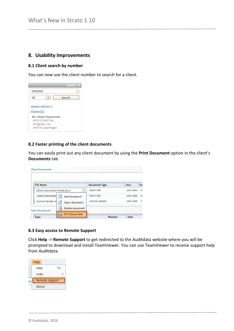## <span id="page-11-0"></span>**8. Usability Improvements**

### <span id="page-11-1"></span>**8.1 Client search by number**

You can now use the client number to search for a client.

|                                                      | SEARCH >> |
|------------------------------------------------------|-----------|
| 0003036                                              |           |
| All                                                  | Search    |
| <b>SEARCH RESULTS:</b>                               |           |
| Clients(1)<br>Mr. Johann Rasmussen<br>68757570987786 |           |
| Strogedaal 134<br>45RT56 Copenhagen                  |           |

#### <span id="page-11-2"></span>**8.2 Faster printing of the client documents**

You can easily print out any client document by using the **Print Document** option in the client's **Documents** tab.

| <b>Client Documents</b>                                   |                      |                           |
|-----------------------------------------------------------|----------------------|---------------------------|
|                                                           |                      |                           |
| <b>File Name</b>                                          | <b>Document Type</b> | User<br>Da                |
| Client Information Sheet.docx<br>$\overline{\phantom{a}}$ | Client Info          | adm adm<br>23             |
| Client Information<br>Edit document                       | Client Info          | adm adm<br>23             |
| Invoice Sample.xl<br>l٥ĭ<br>Open document                 | Invoice Sample       | adm adm<br>2 <sup>1</sup> |
| Delete document<br><b>Sales Documents</b>                 |                      |                           |
| <b>Print Document</b><br>Type                             | Number               | Date                      |

#### <span id="page-11-3"></span>**8.3 Easy access to Remote Support**

Click **Help** -> **Remote Support** to get redirected to the Auditdata website where you will be prompted to download and install TeamViewer. You can use TeamViewer to receive support help from Auditdata.

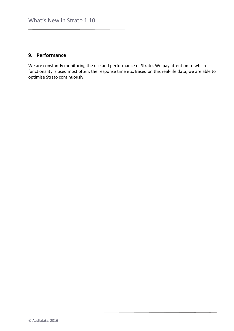# <span id="page-12-0"></span>**9. Performance**

We are constantly monitoring the use and performance of Strato. We pay attention to which functionality is used most often, the response time etc. Based on this real-life data, we are able to optimise Strato continuously.